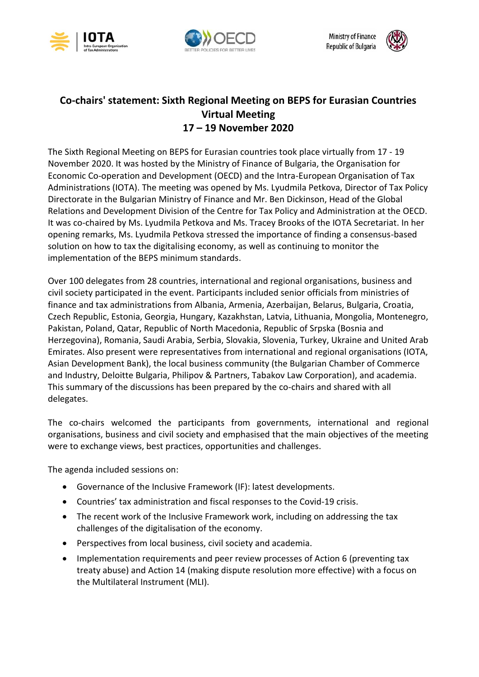



**Ministry of Finance Republic of Bulgaria** 



## **Co-chairs' statement: Sixth Regional Meeting on BEPS for Eurasian Countries Virtual Meeting 17 – 19 November 2020**

The Sixth Regional Meeting on BEPS for Eurasian countries took place virtually from 17 - 19 November 2020. It was hosted by the Ministry of Finance of Bulgaria, the Organisation for Economic Co-operation and Development (OECD) and the Intra-European Organisation of Tax Administrations (IOTA). The meeting was opened by Ms. Lyudmila Petkova, Director of Tax Policy Directorate in the Bulgarian Ministry of Finance and Mr. Ben Dickinson, Head of the Global Relations and Development Division of the Centre for Tax Policy and Administration at the OECD. It was co-chaired by Ms. Lyudmila Petkova and Ms. Tracey Brooks of the IOTA Secretariat. In her opening remarks, Ms. Lyudmila Petkova stressed the importance of finding a consensus-based solution on how to tax the digitalising economy, as well as continuing to monitor the implementation of the BEPS minimum standards.

Over 100 delegates from 28 countries, international and regional organisations, business and civil society participated in the event. Participants included senior officials from ministries of finance and tax administrations from Albania, Armenia, Azerbaijan, Belarus, Bulgaria, Croatia, Czech Republic, Estonia, Georgia, Hungary, Kazakhstan, Latvia, Lithuania, Mongolia, Montenegro, Pakistan, Poland, Qatar, Republic of North Macedonia, Republic of Srpska (Bosnia and Herzegovina), Romania, Saudi Arabia, Serbia, Slovakia, Slovenia, Turkey, Ukraine and United Arab Emirates. Also present were representatives from international and regional organisations (IOTA, Asian Development Bank), the local business community (the Bulgarian Chamber of Commerce and Industry, Deloitte Bulgaria, Philipov & Partners, Tabakov Law Corporation), and academia. This summary of the discussions has been prepared by the co-chairs and shared with all delegates.

The co-chairs welcomed the participants from governments, international and regional organisations, business and civil society and emphasised that the main objectives of the meeting were to exchange views, best practices, opportunities and challenges.

The agenda included sessions on:

- Governance of the Inclusive Framework (IF): latest developments.
- Countries' tax administration and fiscal responses to the Covid-19 crisis.
- The recent work of the Inclusive Framework work, including on addressing the tax challenges of the digitalisation of the economy.
- Perspectives from local business, civil society and academia.
- Implementation requirements and peer review processes of Action 6 (preventing tax treaty abuse) and Action 14 (making dispute resolution more effective) with a focus on the Multilateral Instrument (MLI).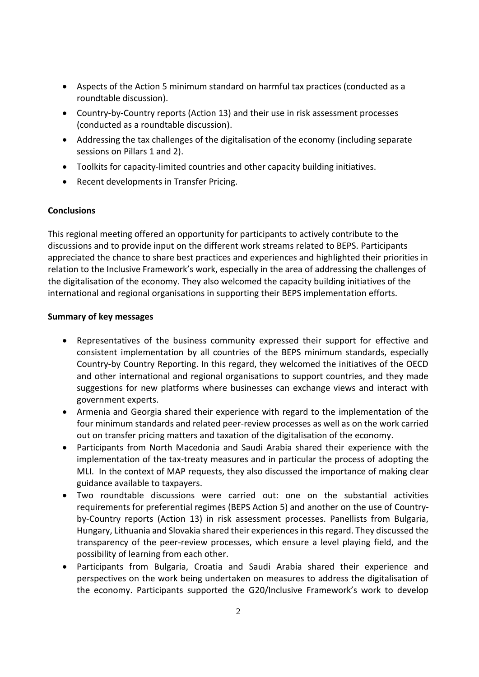- Aspects of the Action 5 minimum standard on harmful tax practices (conducted as a roundtable discussion).
- Country-by-Country reports (Action 13) and their use in risk assessment processes (conducted as a roundtable discussion).
- Addressing the tax challenges of the digitalisation of the economy (including separate sessions on Pillars 1 and 2).
- Toolkits for capacity-limited countries and other capacity building initiatives.
- Recent developments in Transfer Pricing.

## **Conclusions**

This regional meeting offered an opportunity for participants to actively contribute to the discussions and to provide input on the different work streams related to BEPS. Participants appreciated the chance to share best practices and experiences and highlighted their priorities in relation to the Inclusive Framework's work, especially in the area of addressing the challenges of the digitalisation of the economy. They also welcomed the capacity building initiatives of the international and regional organisations in supporting their BEPS implementation efforts.

## **Summary of key messages**

- Representatives of the business community expressed their support for effective and consistent implementation by all countries of the BEPS minimum standards, especially Country-by Country Reporting. In this regard, they welcomed the initiatives of the OECD and other international and regional organisations to support countries, and they made suggestions for new platforms where businesses can exchange views and interact with government experts.
- Armenia and Georgia shared their experience with regard to the implementation of the four minimum standards and related peer-review processes as well as on the work carried out on transfer pricing matters and taxation of the digitalisation of the economy.
- Participants from North Macedonia and Saudi Arabia shared their experience with the implementation of the tax-treaty measures and in particular the process of adopting the MLI. In the context of MAP requests, they also discussed the importance of making clear guidance available to taxpayers.
- Two roundtable discussions were carried out: one on the substantial activities requirements for preferential regimes (BEPS Action 5) and another on the use of Countryby-Country reports (Action 13) in risk assessment processes. Panellists from Bulgaria, Hungary, Lithuania and Slovakia shared their experiencesin this regard. They discussed the transparency of the peer-review processes, which ensure a level playing field, and the possibility of learning from each other.
- Participants from Bulgaria, Croatia and Saudi Arabia shared their experience and perspectives on the work being undertaken on measures to address the digitalisation of the economy. Participants supported the G20/Inclusive Framework's work to develop